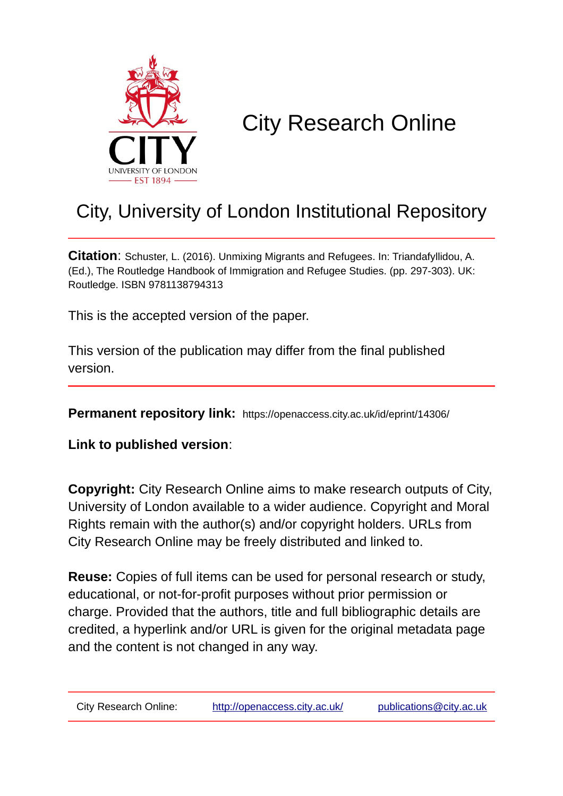

# City Research Online

## City, University of London Institutional Repository

**Citation**: Schuster, L. (2016). Unmixing Migrants and Refugees. In: Triandafyllidou, A. (Ed.), The Routledge Handbook of Immigration and Refugee Studies. (pp. 297-303). UK: Routledge. ISBN 9781138794313

This is the accepted version of the paper.

This version of the publication may differ from the final published version.

**Permanent repository link:** https://openaccess.city.ac.uk/id/eprint/14306/

**Link to published version**:

**Copyright:** City Research Online aims to make research outputs of City, University of London available to a wider audience. Copyright and Moral Rights remain with the author(s) and/or copyright holders. URLs from City Research Online may be freely distributed and linked to.

**Reuse:** Copies of full items can be used for personal research or study, educational, or not-for-profit purposes without prior permission or charge. Provided that the authors, title and full bibliographic details are credited, a hyperlink and/or URL is given for the original metadata page and the content is not changed in any way.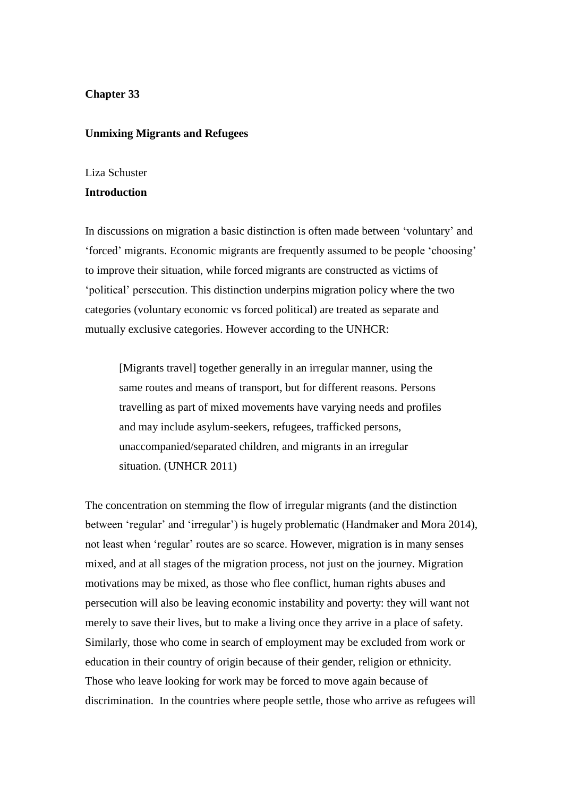#### **Chapter 33**

#### **Unmixing Migrants and Refugees**

#### Liza Schuster

### **Introduction**

In discussions on migration a basic distinction is often made between 'voluntary' and 'forced' migrants. Economic migrants are frequently assumed to be people 'choosing' to improve their situation, while forced migrants are constructed as victims of 'political' persecution. This distinction underpins migration policy where the two categories (voluntary economic vs forced political) are treated as separate and mutually exclusive categories. However according to the UNHCR:

[Migrants travel] together generally in an irregular manner, using the same routes and means of transport, but for different reasons. Persons travelling as part of mixed movements have varying needs and profiles and may include asylum-seekers, refugees, trafficked persons, unaccompanied/separated children, and migrants in an irregular situation. (UNHCR 2011)

The concentration on stemming the flow of irregular migrants (and the distinction between 'regular' and 'irregular') is hugely problematic (Handmaker and Mora 2014), not least when 'regular' routes are so scarce. However, migration is in many senses mixed, and at all stages of the migration process, not just on the journey. Migration motivations may be mixed, as those who flee conflict, human rights abuses and persecution will also be leaving economic instability and poverty: they will want not merely to save their lives, but to make a living once they arrive in a place of safety. Similarly, those who come in search of employment may be excluded from work or education in their country of origin because of their gender, religion or ethnicity. Those who leave looking for work may be forced to move again because of discrimination. In the countries where people settle, those who arrive as refugees will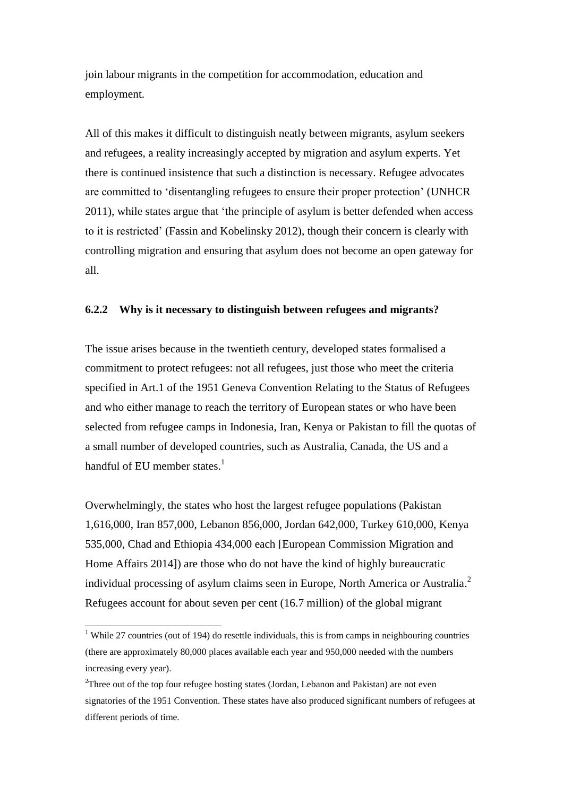join labour migrants in the competition for accommodation, education and employment.

All of this makes it difficult to distinguish neatly between migrants, asylum seekers and refugees, a reality increasingly accepted by migration and asylum experts. Yet there is continued insistence that such a distinction is necessary. Refugee advocates are committed to 'disentangling refugees to ensure their proper protection' (UNHCR 2011), while states argue that 'the principle of asylum is better defended when access to it is restricted' (Fassin and Kobelinsky 2012), though their concern is clearly with controlling migration and ensuring that asylum does not become an open gateway for all.

#### **6.2.2 Why is it necessary to distinguish between refugees and migrants?**

The issue arises because in the twentieth century, developed states formalised a commitment to protect refugees: not all refugees, just those who meet the criteria specified in Art.1 of the 1951 Geneva Convention Relating to the Status of Refugees and who either manage to reach the territory of European states or who have been selected from refugee camps in Indonesia, Iran, Kenya or Pakistan to fill the quotas of a small number of developed countries, such as Australia, Canada, the US and a handful of EU member states.<sup>1</sup>

Overwhelmingly, the states who host the largest refugee populations (Pakistan 1,616,000, Iran 857,000, Lebanon 856,000, Jordan 642,000, Turkey 610,000, Kenya 535,000, Chad and Ethiopia 434,000 each [European Commission Migration and Home Affairs 2014]) are those who do not have the kind of highly bureaucratic individual processing of asylum claims seen in Europe, North America or Australia.<sup>2</sup> Refugees account for about seven per cent (16.7 million) of the global migrant

 $\overline{a}$ 

<sup>&</sup>lt;sup>1</sup> While 27 countries (out of 194) do resettle individuals, this is from camps in neighbouring countries (there are approximately 80,000 places available each year and 950,000 needed with the numbers increasing every year).

<sup>&</sup>lt;sup>2</sup>Three out of the top four refugee hosting states (Jordan, Lebanon and Pakistan) are not even signatories of the 1951 Convention. These states have also produced significant numbers of refugees at different periods of time.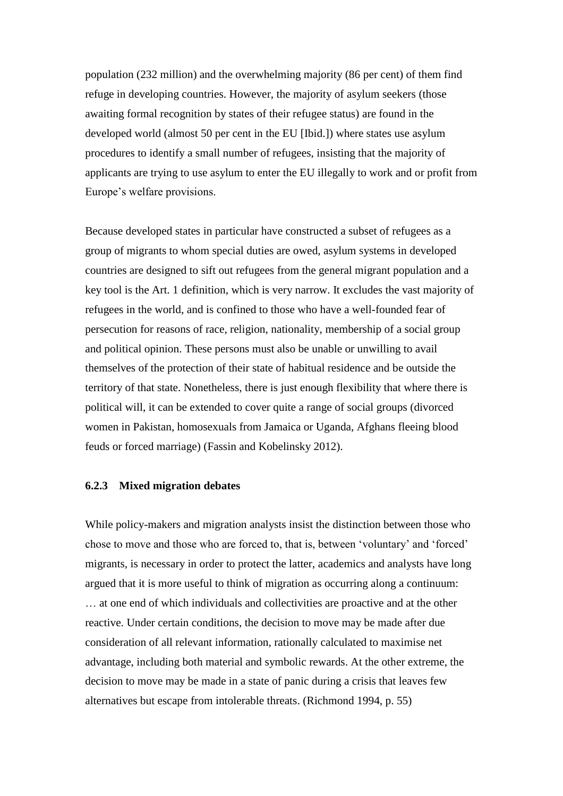population (232 million) and the overwhelming majority (86 per cent) of them find refuge in developing countries. However, the majority of asylum seekers (those awaiting formal recognition by states of their refugee status) are found in the developed world (almost 50 per cent in the EU [Ibid.]) where states use asylum procedures to identify a small number of refugees, insisting that the majority of applicants are trying to use asylum to enter the EU illegally to work and or profit from Europe's welfare provisions.

Because developed states in particular have constructed a subset of refugees as a group of migrants to whom special duties are owed, asylum systems in developed countries are designed to sift out refugees from the general migrant population and a key tool is the Art. 1 definition, which is very narrow. It excludes the vast majority of refugees in the world, and is confined to those who have a well-founded fear of persecution for reasons of race, religion, nationality, membership of a social group and political opinion. These persons must also be unable or unwilling to avail themselves of the protection of their state of habitual residence and be outside the territory of that state. Nonetheless, there is just enough flexibility that where there is political will, it can be extended to cover quite a range of social groups (divorced women in Pakistan, homosexuals from Jamaica or Uganda, Afghans fleeing blood feuds or forced marriage) (Fassin and Kobelinsky 2012).

#### **6.2.3 Mixed migration debates**

While policy-makers and migration analysts insist the distinction between those who chose to move and those who are forced to, that is, between 'voluntary' and 'forced' migrants, is necessary in order to protect the latter, academics and analysts have long argued that it is more useful to think of migration as occurring along a continuum: … at one end of which individuals and collectivities are proactive and at the other reactive. Under certain conditions, the decision to move may be made after due consideration of all relevant information, rationally calculated to maximise net advantage, including both material and symbolic rewards. At the other extreme, the decision to move may be made in a state of panic during a crisis that leaves few alternatives but escape from intolerable threats. (Richmond 1994, p. 55)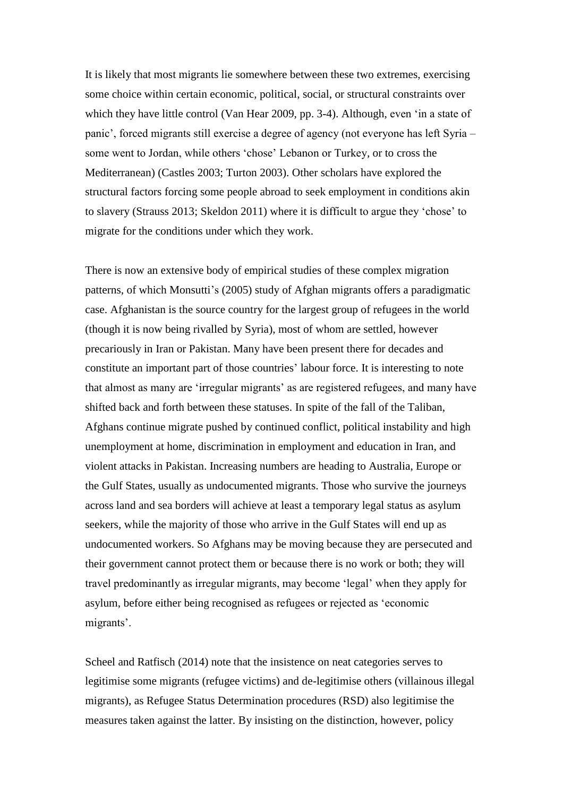It is likely that most migrants lie somewhere between these two extremes, exercising some choice within certain economic, political, social, or structural constraints over which they have little control (Van Hear 2009, pp. 3-4). Although, even 'in a state of panic', forced migrants still exercise a degree of agency (not everyone has left Syria – some went to Jordan, while others 'chose' Lebanon or Turkey, or to cross the Mediterranean) (Castles 2003; Turton [2003\)](http://0-www.tandfonline.com.wam.city.ac.uk/doi/full/10.1080/1369183X.2012.689191#CIT0030). Other scholars have explored the structural factors forcing some people abroad to seek employment in conditions akin to slavery (Strauss 2013; Skeldon 2011) where it is difficult to argue they 'chose' to migrate for the conditions under which they work.

There is now an extensive body of empirical studies of these complex migration patterns, of which Monsutti's (2005) study of Afghan migrants offers a paradigmatic case. Afghanistan is the source country for the largest group of refugees in the world (though it is now being rivalled by Syria), most of whom are settled, however precariously in Iran or Pakistan. Many have been present there for decades and constitute an important part of those countries' labour force. It is interesting to note that almost as many are 'irregular migrants' as are registered refugees, and many have shifted back and forth between these statuses. In spite of the fall of the Taliban, Afghans continue migrate pushed by continued conflict, political instability and high unemployment at home, discrimination in employment and education in Iran, and violent attacks in Pakistan. Increasing numbers are heading to Australia, Europe or the Gulf States, usually as undocumented migrants. Those who survive the journeys across land and sea borders will achieve at least a temporary legal status as asylum seekers, while the majority of those who arrive in the Gulf States will end up as undocumented workers. So Afghans may be moving because they are persecuted and their government cannot protect them or because there is no work or both; they will travel predominantly as irregular migrants, may become 'legal' when they apply for asylum, before either being recognised as refugees or rejected as 'economic migrants'.

Scheel and Ratfisch (2014) note that the insistence on neat categories serves to legitimise some migrants (refugee victims) and de-legitimise others (villainous illegal migrants), as Refugee Status Determination procedures (RSD) also legitimise the measures taken against the latter. By insisting on the distinction, however, policy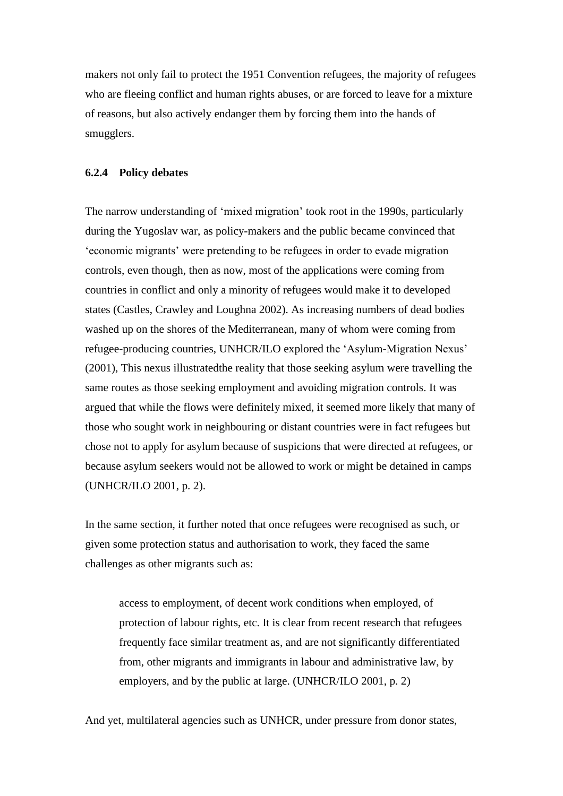makers not only fail to protect the 1951 Convention refugees, the majority of refugees who are fleeing conflict and human rights abuses, or are forced to leave for a mixture of reasons, but also actively endanger them by forcing them into the hands of smugglers.

#### **6.2.4 Policy debates**

The narrow understanding of 'mixed migration' took root in the 1990s, particularly during the Yugoslav war, as policy-makers and the public became convinced that 'economic migrants' were pretending to be refugees in order to evade migration controls, even though, then as now, most of the applications were coming from countries in conflict and only a minority of refugees would make it to developed states (Castles, Crawley and Loughna 2002). As increasing numbers of dead bodies washed up on the shores of the Mediterranean, many of whom were coming from refugee-producing countries, UNHCR/ILO explored the 'Asylum-Migration Nexus' (2001), This nexus illustratedthe reality that those seeking asylum were travelling the same routes as those seeking employment and avoiding migration controls. It was argued that while the flows were definitely mixed, it seemed more likely that many of those who sought work in neighbouring or distant countries were in fact refugees but chose not to apply for asylum because of suspicions that were directed at refugees, or because asylum seekers would not be allowed to work or might be detained in camps (UNHCR/ILO 2001, p. 2).

In the same section, it further noted that once refugees were recognised as such, or given some protection status and authorisation to work, they faced the same challenges as other migrants such as:

access to employment, of decent work conditions when employed, of protection of labour rights, etc. It is clear from recent research that refugees frequently face similar treatment as, and are not significantly differentiated from, other migrants and immigrants in labour and administrative law, by employers, and by the public at large. (UNHCR/ILO 2001, p. 2)

And yet, multilateral agencies such as UNHCR, under pressure from donor states,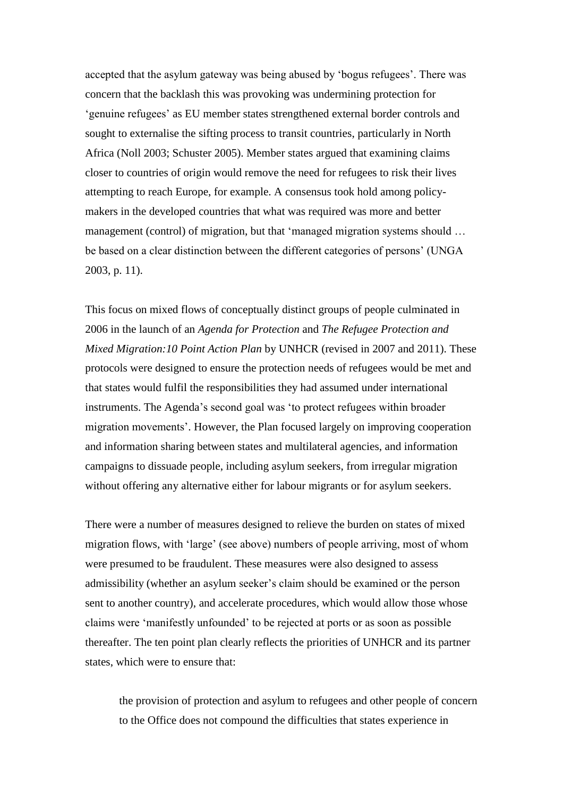accepted that the asylum gateway was being abused by 'bogus refugees'. There was concern that the backlash this was provoking was undermining protection for 'genuine refugees' as EU member states strengthened external border controls and sought to externalise the sifting process to transit countries, particularly in North Africa (Noll 2003; Schuster 2005). Member states argued that examining claims closer to countries of origin would remove the need for refugees to risk their lives attempting to reach Europe, for example. A consensus took hold among policymakers in the developed countries that what was required was more and better management (control) of migration, but that 'managed migration systems should ... be based on a clear distinction between the different categories of persons' (UNGA 2003, p. 11).

This focus on mixed flows of conceptually distinct groups of people culminated in 2006 in the launch of an *Agenda for Protection* and *The Refugee Protection and Mixed Migration:10 Point Action Plan* by UNHCR (revised in 2007 and 2011). These protocols were designed to ensure the protection needs of refugees would be met and that states would fulfil the responsibilities they had assumed under international instruments. The Agenda's second goal was 'to protect refugees within broader migration movements'. However, the Plan focused largely on improving cooperation and information sharing between states and multilateral agencies, and information campaigns to dissuade people, including asylum seekers, from irregular migration without offering any alternative either for labour migrants or for asylum seekers.

There were a number of measures designed to relieve the burden on states of mixed migration flows, with 'large' (see above) numbers of people arriving, most of whom were presumed to be fraudulent. These measures were also designed to assess admissibility (whether an asylum seeker's claim should be examined or the person sent to another country), and accelerate procedures, which would allow those whose claims were 'manifestly unfounded' to be rejected at ports or as soon as possible thereafter. The ten point plan clearly reflects the priorities of UNHCR and its partner states, which were to ensure that:

the provision of protection and asylum to refugees and other people of concern to the Office does not compound the difficulties that states experience in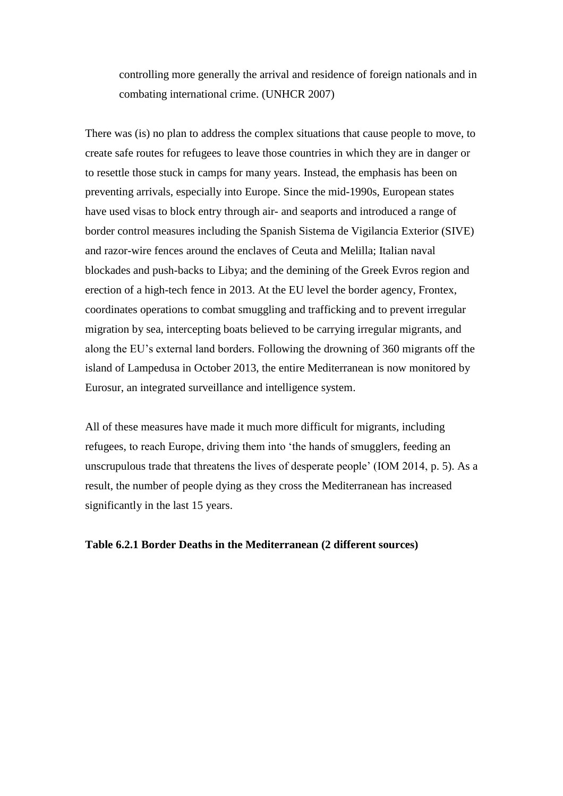controlling more generally the arrival and residence of foreign nationals and in combating international crime. (UNHCR 2007)

There was (is) no plan to address the complex situations that cause people to move, to create safe routes for refugees to leave those countries in which they are in danger or to resettle those stuck in camps for many years. Instead, the emphasis has been on preventing arrivals, especially into Europe. Since the mid-1990s, European states have used visas to block entry through air- and seaports and introduced a range of border control measures including the Spanish Sistema de Vigilancia Exterior (SIVE) and razor-wire fences around the enclaves of Ceuta and Melilla; Italian naval blockades and push-backs to Libya; and the demining of the Greek Evros region and erection of a high-tech fence in 2013. At the EU level the border agency, Frontex, coordinates operations to combat smuggling and trafficking and to prevent irregular migration by sea, intercepting boats believed to be carrying irregular migrants, and along the EU's external land borders. Following the drowning of 360 migrants off the island of Lampedusa in October 2013, the entire Mediterranean is now monitored by Eurosur, an integrated surveillance and intelligence system.

All of these measures have made it much more difficult for migrants, including refugees, to reach Europe, driving them into 'the hands of smugglers, feeding an unscrupulous trade that threatens the lives of desperate people' (IOM 2014, p. 5). As a result, the number of people dying as they cross the Mediterranean has increased significantly in the last 15 years.

### **Table 6.2.1 Border Deaths in the Mediterranean (2 different sources)**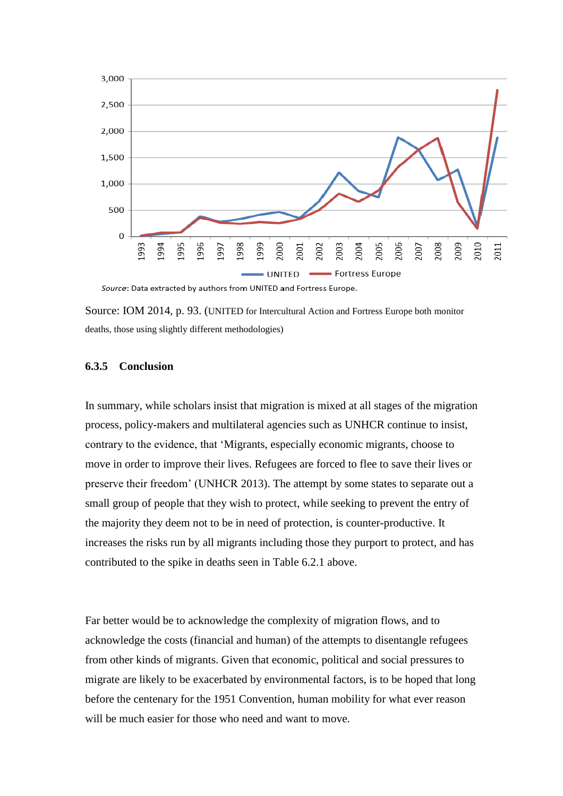

Source: Data extracted by authors from UNITED and Fortress Europe.

Source: IOM 2014, p. 93. (UNITED for Intercultural Action and Fortress Europe both monitor deaths, those using slightly different methodologies)

#### **6.3.5 Conclusion**

In summary, while scholars insist that migration is mixed at all stages of the migration process, policy-makers and multilateral agencies such as UNHCR continue to insist, contrary to the evidence, that 'Migrants, especially economic migrants, choose to move in order to improve their lives. Refugees are forced to flee to save their lives or preserve their freedom' (UNHCR 2013). The attempt by some states to separate out a small group of people that they wish to protect, while seeking to prevent the entry of the majority they deem not to be in need of protection, is counter-productive. It increases the risks run by all migrants including those they purport to protect, and has contributed to the spike in deaths seen in Table 6.2.1 above.

Far better would be to acknowledge the complexity of migration flows, and to acknowledge the costs (financial and human) of the attempts to disentangle refugees from other kinds of migrants. Given that economic, political and social pressures to migrate are likely to be exacerbated by environmental factors, is to be hoped that long before the centenary for the 1951 Convention, human mobility for what ever reason will be much easier for those who need and want to move.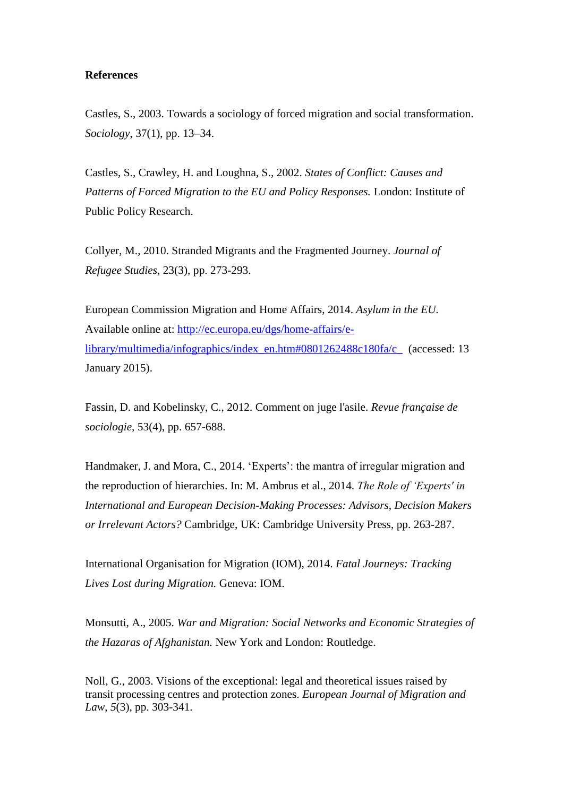#### **References**

Castles, S., 2003. Towards a sociology of forced migration and social transformation. *Sociology*, 37(1), pp. 13–34.

Castles, S., Crawley, H. and Loughna, S., 2002. *States of Conflict: Causes and Patterns of Forced Migration to the EU and Policy Responses.* London: Institute of Public Policy Research.

Collyer, M., 2010. Stranded Migrants and the Fragmented Journey. *Journal of Refugee Studies,* 23(3), pp. 273-293.

European Commission Migration and Home Affairs, 2014. *Asylum in the EU.* Available online at: [http://ec.europa.eu/dgs/home-affairs/e](http://ec.europa.eu/dgs/home-affairs/e-library/multimedia/infographics/index_en.htm#0801262488c180fa/c_)[library/multimedia/infographics/index\\_en.htm#0801262488c180fa/c\\_](http://ec.europa.eu/dgs/home-affairs/e-library/multimedia/infographics/index_en.htm#0801262488c180fa/c_) (accessed: 13 January 2015).

Fassin, D. and Kobelinsky, C., 2012. Comment on juge l'asile. *Revue française de sociologie,* 53(4), pp. 657-688.

Handmaker, J. and Mora, C., 2014. 'Experts': the mantra of irregular migration and the reproduction of hierarchies. In: M. Ambrus et al., 2014. *The Role of 'Experts' in International and European Decision-Making Processes: Advisors, Decision Makers or Irrelevant Actors?* Cambridge, UK: Cambridge University Press, pp. 263-287.

International Organisation for Migration (IOM), 2014. *Fatal Journeys: Tracking Lives Lost during Migration.* Geneva: IOM.

Monsutti, A., 2005. *War and Migration: Social Networks and Economic Strategies of the Hazaras of Afghanistan.* New York and London: Routledge.

Noll, G., 2003. Visions of the exceptional: legal and theoretical issues raised by transit processing centres and protection zones. *European Journal of Migration and Law*, *5*(3), pp. 303-341.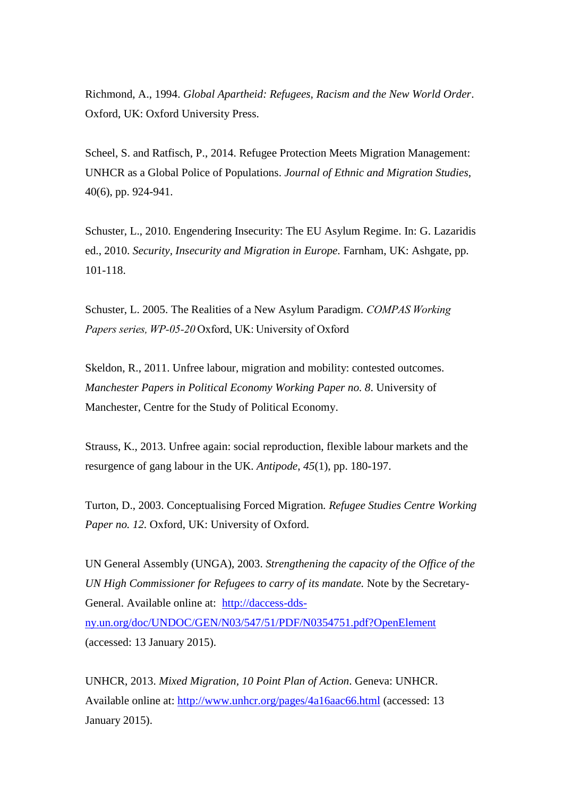Richmond, A., 1994. *Global Apartheid: Refugees, Racism and the New World Order*. Oxford, UK: Oxford University Press.

Scheel, S. and Ratfisch, P., 2014. Refugee Protection Meets Migration Management: UNHCR as a Global Police of Populations. *Journal of Ethnic and Migration Studies*, 40(6), pp. 924-941.

Schuster, L., 2010. Engendering Insecurity: The EU Asylum Regime. In: G. Lazaridis ed., 2010. *Security, Insecurity and Migration in Europe.* Farnham, UK: Ashgate, pp. 101-118.

Schuster, L. 2005. The Realities of a New Asylum Paradigm. *COMPAS Working Papers series, WP-05-20* Oxford, UK: University of Oxford

Skeldon, R., 2011. Unfree labour, migration and mobility: contested outcomes. *Manchester Papers in Political Economy Working Paper no. 8*. University of Manchester, Centre for the Study of Political Economy.

Strauss, K., 2013. Unfree again: social reproduction, flexible labour markets and the resurgence of gang labour in the UK. *Antipode*, *45*(1), pp. 180-197.

Turton, D., 2003. Conceptualising Forced Migration*. Refugee Studies Centre Working*  Paper no. 12. Oxford, UK: University of Oxford.

UN General Assembly (UNGA), 2003. *Strengthening the capacity of the Office of the UN High Commissioner for Refugees to carry of its mandate.* Note by the Secretary-General. Available online at: [http://daccess-dds](http://daccess-dds-ny.un.org/doc/UNDOC/GEN/N03/547/51/PDF/N0354751.pdf?OpenElement)[ny.un.org/doc/UNDOC/GEN/N03/547/51/PDF/N0354751.pdf?OpenElement](http://daccess-dds-ny.un.org/doc/UNDOC/GEN/N03/547/51/PDF/N0354751.pdf?OpenElement) (accessed: 13 January 2015).

UNHCR, 2013. *Mixed Migration, 10 Point Plan of Action*. Geneva: UNHCR. Available online at: <http://www.unhcr.org/pages/4a16aac66.html> (accessed: 13 January 2015).